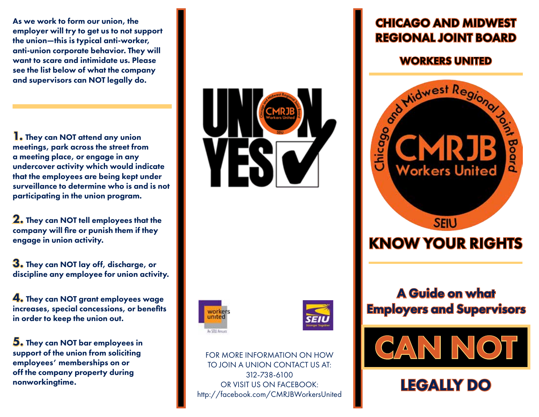As we work to form our union, the employer will try to get us to not support the union—this is typical anti-worker, anti-union corporate behavior. They will want to scare and intimidate us. Please see the list below of what the company and supervisors can NOT legally do.

1. They can NOT attend any union meetings, park across the street from a meeting place, or engage in any undercover activity which would indicate that the employees are being kept under surveillance to determine who is and is not participating in the union program.

**2.** They can NOT tell employees that the company will fire or punish them if they engage in union activity.

3. They can NOT lay off, discharge, or discipline any employee for union activity.

4. They can NOT grant employees wage increases, special concessions, or benefits in order to keep the union out.

5. They can NOT bar employees in support of the union from soliciting employees' memberships on or off the company property during nonworkingtime.







FOR MORE INFORMATION ON HOW TO JOIN A UNION CONTACT US AT: 312-738-6100 OR VISIT US ON FACEBOOK: http://facebook.com/CMRJBWorkersUnited

## CHICAGO AND MIDWEST REGIONAL JOINT BOARD



## A Guide on what Employers and Supervisors



## LEGALLY DO